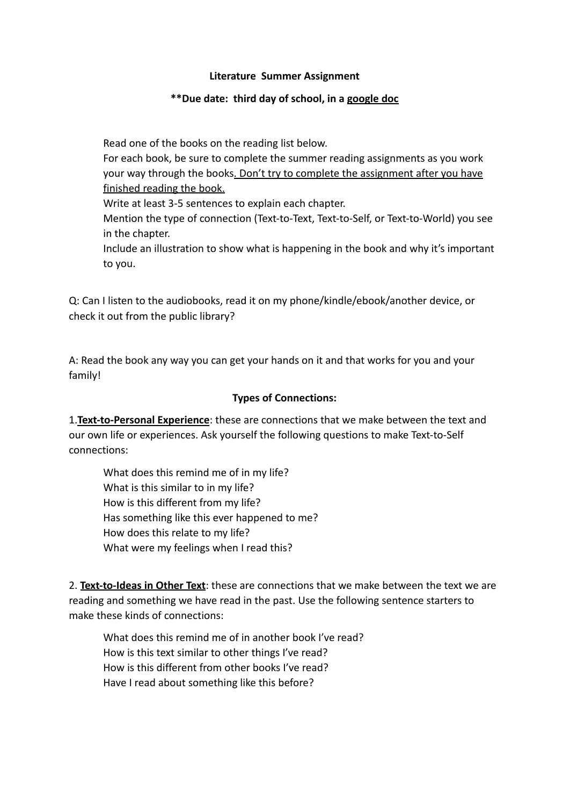# **Literature Summer Assignment**

# **\*\*Due date: third day of school, in a google doc**

Read one of the books on the reading list below. For each book, be sure to complete the summer reading assignments as you work your way through the books. Don't try to complete the assignment after you have finished reading the book. Write at least 3-5 sentences to explain each chapter. Mention the type of connection (Text-to-Text, Text-to-Self, or Text-to-World) you see in the chapter. Include an illustration to show what is happening in the book and why it's important to you.

Q: Can I listen to the audiobooks, read it on my phone/kindle/ebook/another device, or check it out from the public library?

A: Read the book any way you can get your hands on it and that works for you and your family!

### **Types of Connections:**

1.**Text-to-Personal Experience**: these are connections that we make between the text and our own life or experiences. Ask yourself the following questions to make Text-to-Self connections:

What does this remind me of in my life? What is this similar to in my life? How is this different from my life? Has something like this ever happened to me? How does this relate to my life? What were my feelings when I read this?

2. **Text-to-Ideas in Other Text**: these are connections that we make between the text we are reading and something we have read in the past. Use the following sentence starters to make these kinds of connections:

What does this remind me of in another book I've read? How is this text similar to other things I've read? How is this different from other books I've read? Have I read about something like this before?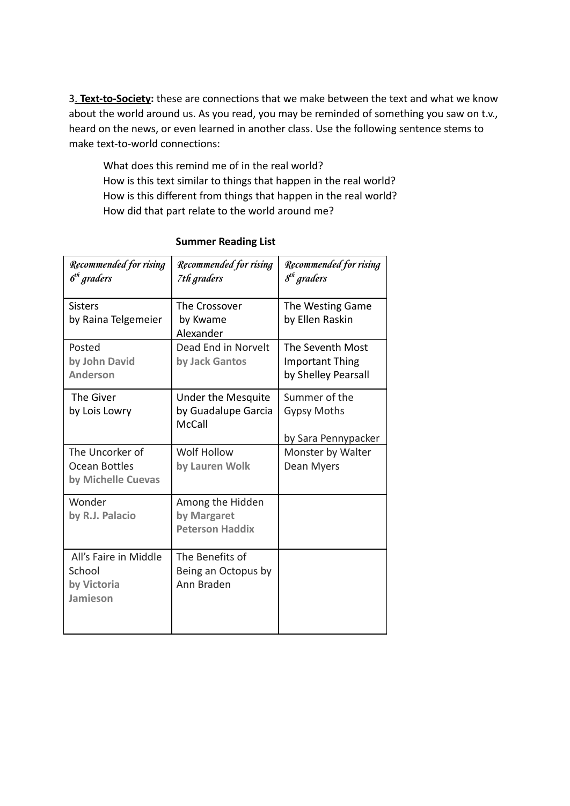3. **Text-to-Society:** these are connections that we make between the text and what we know about the world around us. As you read, you may be reminded of something you saw on t.v., heard on the news, or even learned in another class. Use the following sentence stems to make text-to-world connections:

What does this remind me of in the real world? How is this text similar to things that happen in the real world? How is this different from things that happen in the real world? How did that part relate to the world around me?

| <b>Recommended for rising</b><br>$6th$ graders                | <b>Recommended for rising</b><br>7th graders               | <b>Recommended for rising</b><br>8 <sup>th</sup> graders          |
|---------------------------------------------------------------|------------------------------------------------------------|-------------------------------------------------------------------|
| <b>Sisters</b><br>by Raina Telgemeier                         | The Crossover<br>by Kwame<br>Alexander                     | The Westing Game<br>by Ellen Raskin                               |
| Posted<br>by John David<br><b>Anderson</b>                    | Dead End in Norvelt<br>by Jack Gantos                      | The Seventh Most<br><b>Important Thing</b><br>by Shelley Pearsall |
| The Giver<br>by Lois Lowry                                    | Under the Mesquite<br>by Guadalupe Garcia<br><b>McCall</b> | Summer of the<br><b>Gypsy Moths</b><br>by Sara Pennypacker        |
| The Uncorker of<br><b>Ocean Bottles</b><br>by Michelle Cuevas | Wolf Hollow<br>by Lauren Wolk                              | Monster by Walter<br>Dean Myers                                   |
| Wonder<br>by R.J. Palacio                                     | Among the Hidden<br>by Margaret<br><b>Peterson Haddix</b>  |                                                                   |
| All's Faire in Middle<br>School<br>by Victoria<br>Jamieson    | The Benefits of<br>Being an Octopus by<br>Ann Braden       |                                                                   |

# **Summer Reading List**